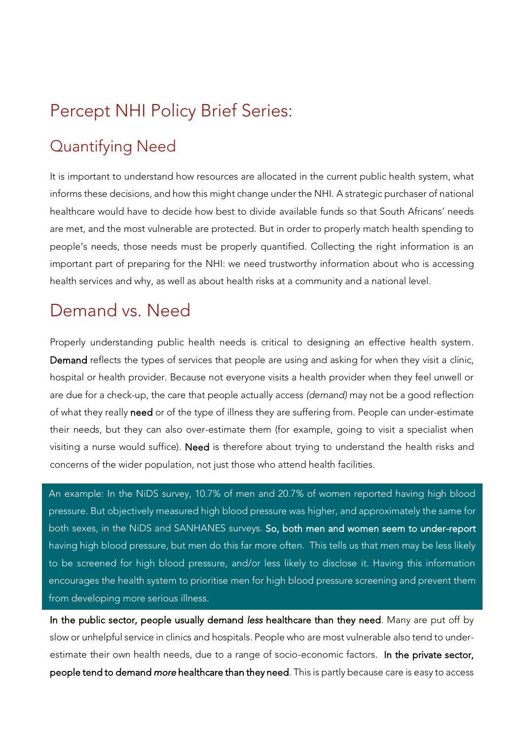# Percept NHI Policy Brief Series:

## Quantifying Need

It is important to understand how resources are allocated in the current public health system, what informs these decisions, and how this might change under the NHI. A strategic purchaser of national healthcare would have to decide how best to divide available funds so that South Africans' needs are met, and the most vulnerable are protected. But in order to properly match health spending to people's needs, those needs must be properly quantified. Collecting the right information is an important part of preparing for the NHI: we need trustworthy information about who is accessing health services and why, as well as about health risks at a community and a national level.

## Demand vs. Need

Properly understanding public health needs is critical to designing an effective health system. Demand reflects the types of services that people are using and asking for when they visit a clinic, hospital or health provider. Because not everyone visits a health provider when they feel unwell or are due for a check-up, the care that people actually access *(demand)* may not be a good reflection of what they really need or of the type of illness they are suffering from. People can under-estimate their needs, but they can also over-estimate them (for example, going to visit a specialist when visiting a nurse would suffice). Need is therefore about trying to understand the health risks and concerns of the wider population, not just those who attend health facilities.

An example: In the NiDS survey, 10.7% of men and 20.7% of women reported having high blood pressure. But objectively measured high blood pressure was higher, and approximately the same for both sexes, in the NiDS and SANHANES surveys. So, both men and women seem to under-report having high blood pressure, but men do this far more often. This tells us that men may be less likely to be screened for high blood pressure, and/or less likely to disclose it. Having this information encourages the health system to prioritise men for high blood pressure screening and prevent them from developing more serious illness.

In the public sector, people usually demand *less* healthcare than they need. Many are put off by slow or unhelpful service in clinics and hospitals. People who are most vulnerable also tend to underestimate their own health needs, due to a range of socio-economic factors. In the private sector, people tend to demand *more* healthcare than they need. This is partly because care is easy to access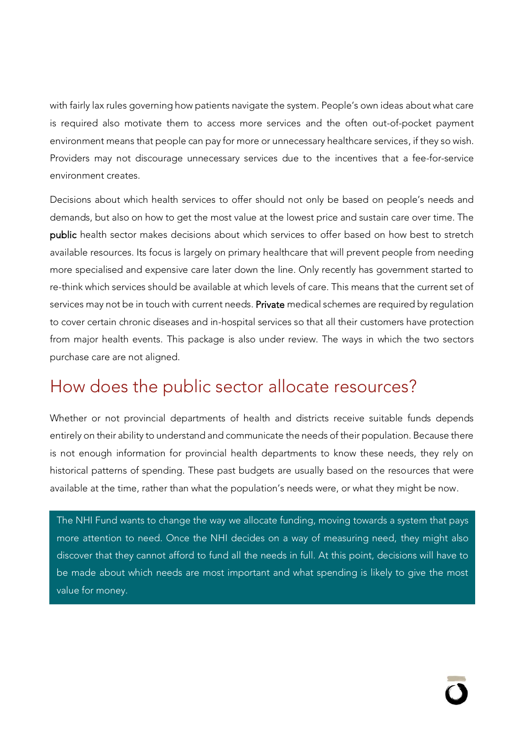with fairly lax rules governing how patients navigate the system. People's own ideas about what care is required also motivate them to access more services and the often out-of-pocket payment environment means that people can pay for more or unnecessary healthcare services, if they so wish. Providers may not discourage unnecessary services due to the incentives that a fee-for-service environment creates.

Decisions about which health services to offer should not only be based on people's needs and demands, but also on how to get the most value at the lowest price and sustain care over time. The public health sector makes decisions about which services to offer based on how best to stretch available resources. Its focus is largely on primary healthcare that will prevent people from needing more specialised and expensive care later down the line. Only recently has government started to re-think which services should be available at which levels of care. This means that the current set of services may not be in touch with current needs. Private medical schemes are required by regulation to cover certain chronic diseases and in-hospital services so that all their customers have protection from major health events. This package is also under review. The ways in which the two sectors purchase care are not aligned.

#### How does the public sector allocate resources?

Whether or not provincial departments of health and districts receive suitable funds depends entirely on their ability to understand and communicate the needs of their population. Because there is not enough information for provincial health departments to know these needs, they rely on historical patterns of spending. These past budgets are usually based on the resources that were available at the time, rather than what the population's needs were, or what they might be now.

The NHI Fund wants to change the way we allocate funding, moving towards a system that pays more attention to need. Once the NHI decides on a way of measuring need, they might also discover that they cannot afford to fund all the needs in full. At this point, decisions will have to be made about which needs are most important and what spending is likely to give the most value for money.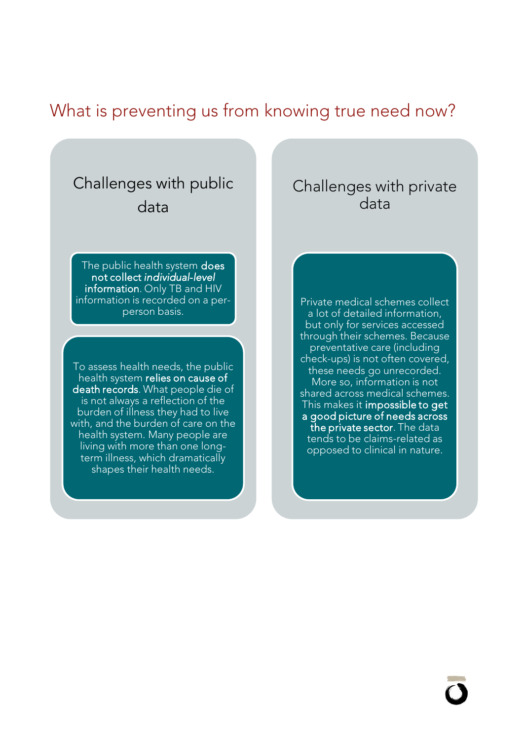## What is preventing us from knowing true need now?

#### Challenges with public data

The public health system does not collect *individual*-*level* information. Only TB and HIV information is recorded on a perperson basis.

To assess health needs, the public health system relies on cause of death records. What people die of is not always a reflection of the burden of illness they had to live with, and the burden of care on the health system. Many people are living with more than one longterm illness, which dramatically shapes their health needs.

#### Challenges with private data

Private medical schemes collect a lot of detailed information, but only for services accessed through their schemes. Because preventative care (including check-ups) is not often covered, these needs go unrecorded. More so, information is not shared across medical schemes. This makes it impossible to get a good picture of needs across the private sector. The data tends to be claims-related as opposed to clinical in nature.